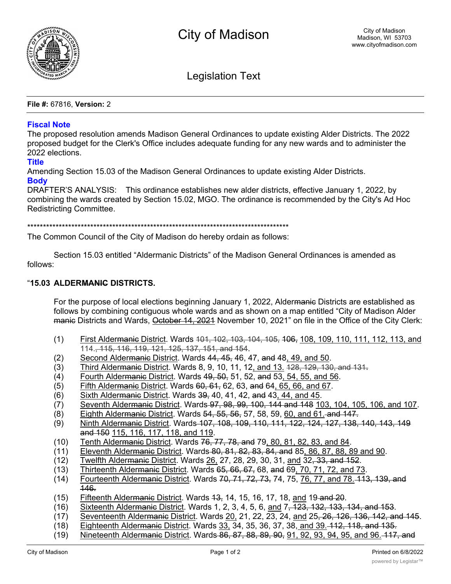

Legislation Text

**File #:** 67816, **Version:** 2

## **Fiscal Note**

The proposed resolution amends Madison General Ordinances to update existing Alder Districts. The 2022 proposed budget for the Clerk's Office includes adequate funding for any new wards and to administer the 2022 elections.

## **Title**

Amending Section 15.03 of the Madison General Ordinances to update existing Alder Districts. **Body**

DRAFTER'S ANALYSIS: This ordinance establishes new alder districts, effective January 1, 2022, by combining the wards created by Section 15.02, MGO. The ordinance is recommended by the City's Ad Hoc Redistricting Committee.

\*\*\*\*\*\*\*\*\*\*\*\*\*\*\*\*\*\*\*\*\*\*\*\*\*\*\*\*\*\*\*\*\*\*\*\*\*\*\*\*\*\*\*\*\*\*\*\*\*\*\*\*\*\*\*\*\*\*\*\*\*\*\*\*\*\*\*\*\*\*\*\*\*\*\*\*\*\*\*\*\*\*\*

The Common Council of the City of Madison do hereby ordain as follows:

Section 15.03 entitled "Aldermanic Districts" of the Madison General Ordinances is amended as follows:

## "**15.03 ALDERMANIC DISTRICTS.**

For the purpose of local elections beginning January 1, 2022, Aldermanic Districts are established as follows by combining contiguous whole wards and as shown on a map entitled "City of Madison Alder manie Districts and Wards, October 14, 2021 November 10, 2021" on file in the Office of the City Clerk:

- (1) First Aldermanic District. Wards 101, 102, 103, 104, 105, 106, 108, 109, 110, 111, 112, 113, and 114., 115, 116, 119, 121, 125, 137, 151, and 154.
- $(2)$  Second Aldermanic District. Wards  $44, 45, 46, 47,$  and  $48, 49,$  and  $50.$
- $(3)$  Third Aldermanic District. Wards 8, 9, 10, 11, 12, and 13.  $128, 129, 130,$  and 131.
- (4) Fourth Aldermanic District. Wards 49, 50, 51, 52, and 53, 54, 55, and 56.
- $(5)$  Fifth Aldermanic District. Wards  $60, 61, 62, 63,$  and  $64, 65, 66,$  and  $67$ .
- $(6)$  Sixth Aldermanic District. Wards  $39, 40, 41, 42,$  and  $43, 44,$  and  $45.$
- (7) Seventh Aldermanic District. Wards 97, 98, 99, 100, 144 and 148 103, 104, 105, 106, and 107.
- (8) Eighth Aldermanic District. Wards 54, 55, 56, 57, 58, 59, 60, and 61. and 147.
- (9) Ninth Aldermanic District. Wards 107, 108, 109, 110, 111, 122, 124, 127, 138, 140, 143, 149 and 150 115, 116, 117, 118, and 119.
- (10) Tenth Aldermanic District. Wards 76, 77, 78, and 79, 80, 81, 82, 83, and 84.
- (11) Eleventh Aldermanic District. Wards 80, 81, 82, 83, 84, and 85, 86, 87, 88, 89 and 90.
- $(12)$  Twelfth Aldermanic District. Wards 26, 27, 28, 29, 30, 31, and 32, 33, and 152.
- $(13)$  Thirteenth Aldermanic District. Wards  $65, 66, 67, 68$ , and  $69, 70, 71, 72$ , and  $73$ .
- (14) Fourteenth Alder<del>manic</del> District. Wards 70, 71, 72, 73, 74, 75, 76, 77, and 78, 413, 139, and 146.
- $(15)$  Fifteenth Aldermanic District. Wards  $13, 14, 15, 16, 17, 18$ , and  $19$ -and  $20$ .
- (16) Sixteenth Aldermanic District. Wards 1, 2, 3, 4, 5, 6, and 7, 123, 132, 133, 134, and 153.
- (17) Seventeenth Aldermanic District. Wards 20, 21, 22, 23, 24, and 25, 26, 126, 136, 142, and 145.
- (18) Eighteenth Aldermanic District. Wards 33, 34, 35, 36, 37, 38, and 39, 112, 118, and 135.
- (19) Nineteenth Aldermanic District. Wards 86, 87, 88, 89, 90, 91, 92, 93, 94, 95, and 96. 117, and